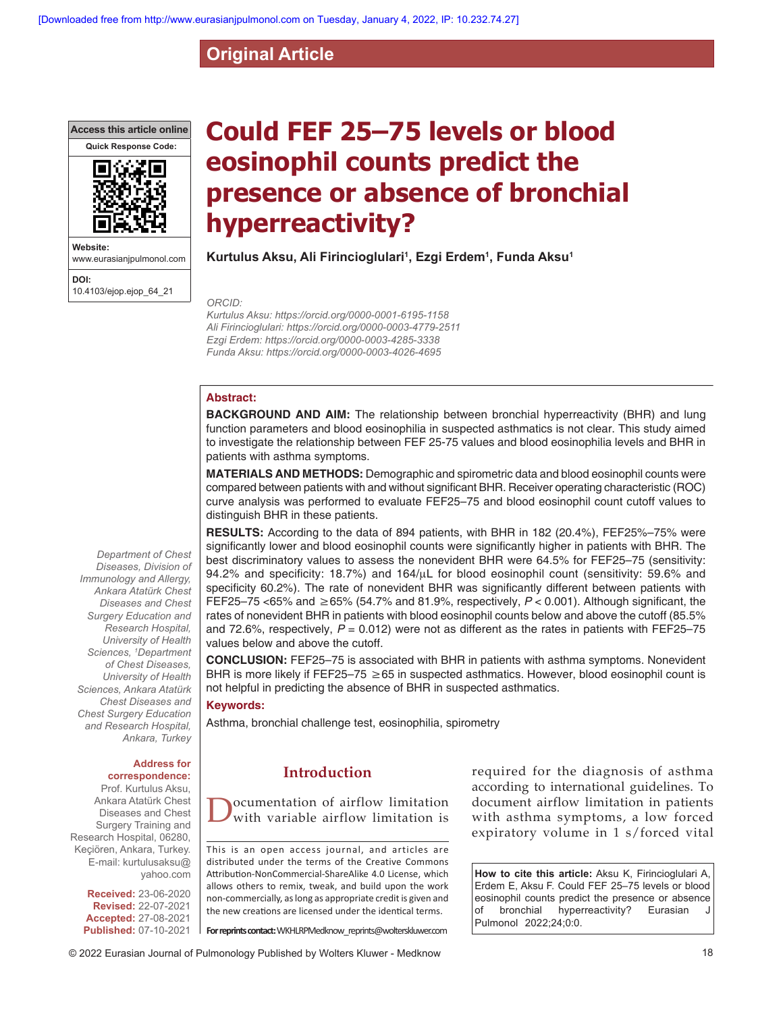**Original Article**

**Access this article online Quick Response Code:**



**Website:** www.eurasianjpulmonol.com **DOI:** 10.4103/ejop.ejop\_64\_21

# **Could FEF 25–75 levels or blood eosinophil counts predict the presence or absence of bronchial hyperreactivity?**

**Kurtulus Aksu, Ali Firincioglulari1 , Ezgi Erdem1 , Funda Aksu1**

#### *ORCID:*

*Kurtulus Aksu: https://orcid.org/0000‑0001‑6195‑1158 Ali Firincioglulari: https://orcid.org/0000‑0003‑4779‑2511 Ezgi Erdem: https://orcid.org/0000‑0003‑4285‑3338 Funda Aksu: https://orcid.org/0000‑0003‑4026‑4695*

#### **Abstract:**

**BACKGROUND AND AIM:** The relationship between bronchial hyperreactivity (BHR) and lung function parameters and blood eosinophilia in suspected asthmatics is not clear. This study aimed to investigate the relationship between FEF 25-75 values and blood eosinophilia levels and BHR in patients with asthma symptoms.

**MATERIALS AND METHODS:** Demographic and spirometric data and blood eosinophil counts were compared between patients with and without significant BHR. Receiver operating characteristic (ROC) curve analysis was performed to evaluate FEF25–75 and blood eosinophil count cutoff values to distinguish BHR in these patients.

**RESULTS:** According to the data of 894 patients, with BHR in 182 (20.4%), FEF25%–75% were significantly lower and blood eosinophil counts were significantly higher in patients with BHR. The best discriminatory values to assess the nonevident BHR were 64.5% for FEF25–75 (sensitivity: 94.2% and specificity: 18.7%) and  $164/\mu$ L for blood eosinophil count (sensitivity: 59.6% and specificity 60.2%). The rate of nonevident BHR was significantly different between patients with FEF25–75 <65% and ≥65% (54.7% and 81.9%, respectively, *P* < 0.001). Although significant, the rates of nonevident BHR in patients with blood eosinophil counts below and above the cutoff (85.5% and 72.6%, respectively,  $P = 0.012$ ) were not as different as the rates in patients with FEF25–75 values below and above the cutoff.

**CONCLUSION:** FEF25–75 is associated with BHR in patients with asthma symptoms. Nonevident BHR is more likely if  $FEF25-75 \ge 65$  in suspected asthmatics. However, blood eosinophil count is not helpful in predicting the absence of BHR in suspected asthmatics.

#### **Keywords:**

Asthma, bronchial challenge test, eosinophilia, spirometry

# **Introduction**

Documentation of airflow limitation<br>with variable airflow limitation is

This is an open access journal, and articles are distributed under the terms of the Creative Commons Attribution‑NonCommercial‑ShareAlike 4.0 License, which allows others to remix, tweak, and build upon the work non‑commercially, as long as appropriate credit is given and the new creations are licensed under the identical terms.

**For reprints contact:** WKHLRPMedknow\_reprints@wolterskluwer.com

required for the diagnosis of asthma according to international guidelines. To document airflow limitation in patients with asthma symptoms, a low forced expiratory volume in 1 s/forced vital

**How to cite this article:** Aksu K, Firincioglulari A, Erdem E, Aksu F. Could FEF 25–75 levels or blood eosinophil counts predict the presence or absence of bronchial hyperreactivity? Eurasian Pulmonol 2022;24;0:0.

*Department of Chest Diseases, Division of Immunology and Allergy, Ankara Atatürk Chest Diseases and Chest Surgery Education and Research Hospital, University of Health Sciences, 1 Department of Chest Diseases, University of Health Sciences, Ankara Atatürk Chest Diseases and Chest Surgery Education and Research Hospital, Ankara, Turkey*

#### **Address for correspondence:**

Prof. Kurtulus Aksu, Ankara Atatürk Chest Diseases and Chest Surgery Training and Research Hospital, 06280, Keçiören, Ankara, Turkey. E-mail: kurtulusaksu@ yahoo.com

> **Received:** 23-06-2020 **Revised:** 22-07-2021 **Accepted:** 27-08-2021 **Published:** 07-10-2021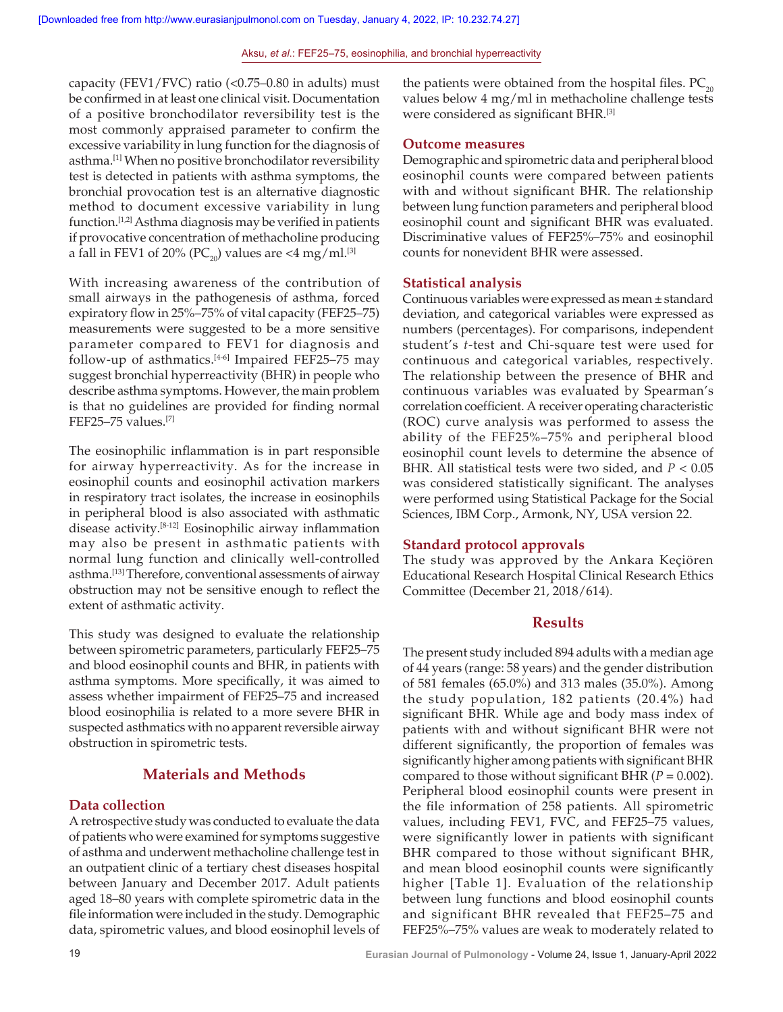#### Aksu, *et al*.: FEF25–75, eosinophilia, and bronchial hyperreactivity

capacity (FEV1/FVC) ratio  $( $0.75-0.80$  in adults) must$ be confirmed in at least one clinical visit. Documentation of a positive bronchodilator reversibility test is the most commonly appraised parameter to confirm the excessive variability in lung function for the diagnosis of asthma.[1] When no positive bronchodilator reversibility test is detected in patients with asthma symptoms, the bronchial provocation test is an alternative diagnostic method to document excessive variability in lung function.[1,2] Asthma diagnosis may be verified in patients if provocative concentration of methacholine producing a fall in FEV1 of 20% (PC<sub>20</sub>) values are <4 mg/ml.<sup>[3]</sup>

With increasing awareness of the contribution of small airways in the pathogenesis of asthma, forced expiratory flow in 25%–75% of vital capacity (FEF25–75) measurements were suggested to be a more sensitive parameter compared to FEV1 for diagnosis and follow-up of asthmatics.<sup>[4-6]</sup> Impaired FEF25–75 may suggest bronchial hyperreactivity (BHR) in people who describe asthma symptoms. However, the main problem is that no guidelines are provided for finding normal FEF25–75 values.[7]

The eosinophilic inflammation is in part responsible for airway hyperreactivity. As for the increase in eosinophil counts and eosinophil activation markers in respiratory tract isolates, the increase in eosinophils in peripheral blood is also associated with asthmatic disease activity.[8‑12] Eosinophilic airway inflammation may also be present in asthmatic patients with normal lung function and clinically well-controlled asthma.[13] Therefore, conventional assessments of airway obstruction may not be sensitive enough to reflect the extent of asthmatic activity.

This study was designed to evaluate the relationship between spirometric parameters, particularly FEF25–75 and blood eosinophil counts and BHR, in patients with asthma symptoms. More specifically, it was aimed to assess whether impairment of FEF25–75 and increased blood eosinophilia is related to a more severe BHR in suspected asthmatics with no apparent reversible airway obstruction in spirometric tests.

# **Materials and Methods**

## **Data collection**

A retrospective study was conducted to evaluate the data of patients who were examined for symptoms suggestive of asthma and underwent methacholine challenge test in an outpatient clinic of a tertiary chest diseases hospital between January and December 2017. Adult patients aged 18–80 years with complete spirometric data in the file information were included in the study. Demographic data, spirometric values, and blood eosinophil levels of the patients were obtained from the hospital files.  $PC_{20}$ values below 4 mg/ml in methacholine challenge tests were considered as significant BHR.<sup>[3]</sup>

#### **Outcome measures**

Demographic and spirometric data and peripheral blood eosinophil counts were compared between patients with and without significant BHR. The relationship between lung function parameters and peripheral blood eosinophil count and significant BHR was evaluated. Discriminative values of FEF25%–75% and eosinophil counts for nonevident BHR were assessed.

#### **Statistical analysis**

Continuous variables were expressed as mean± standard deviation, and categorical variables were expressed as numbers (percentages). For comparisons, independent student's *t*‑test and Chi‑square test were used for continuous and categorical variables, respectively. The relationship between the presence of BHR and continuous variables was evaluated by Spearman's correlation coefficient. A receiver operating characteristic (ROC) curve analysis was performed to assess the ability of the FEF25%–75% and peripheral blood eosinophil count levels to determine the absence of BHR. All statistical tests were two sided, and *P* < 0.05 was considered statistically significant. The analyses were performed using Statistical Package for the Social Sciences, IBM Corp., Armonk, NY, USA version 22.

## **Standard protocol approvals**

The study was approved by the Ankara Keçiören Educational Research Hospital Clinical Research Ethics Committee (December 21, 2018/614).

## **Results**

The present study included 894 adults with a median age of 44 years (range: 58 years) and the gender distribution of 581 females (65.0%) and 313 males (35.0%). Among the study population, 182 patients (20.4%) had significant BHR. While age and body mass index of patients with and without significant BHR were not different significantly, the proportion of females was significantly higher among patients with significant BHR compared to those without significant BHR (*P* = 0.002). Peripheral blood eosinophil counts were present in the file information of 258 patients. All spirometric values, including FEV1, FVC, and FEF25–75 values, were significantly lower in patients with significant BHR compared to those without significant BHR, and mean blood eosinophil counts were significantly higher [Table 1]. Evaluation of the relationship between lung functions and blood eosinophil counts and significant BHR revealed that FEF25–75 and FEF25%–75% values are weak to moderately related to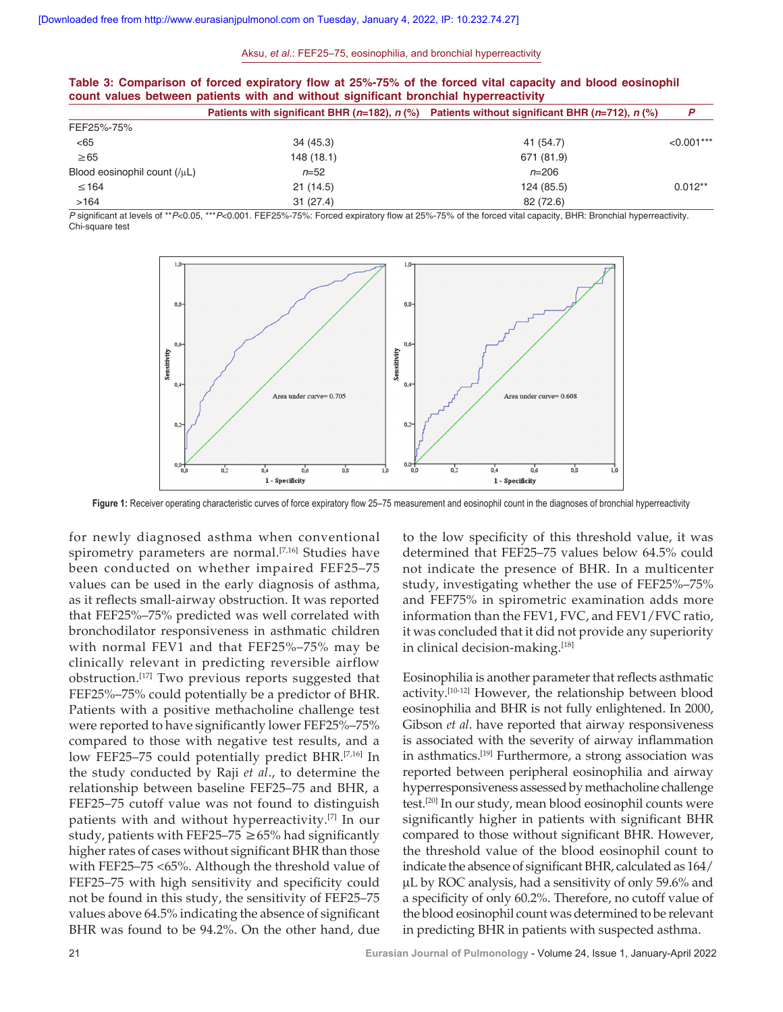#### Aksu, *et al*.: FEF25–75, eosinophilia, and bronchial hyperreactivity

| Table 3: Comparison of forced expiratory flow at 25%-75% of the forced vital capacity and blood eosinophil<br>count values between patients with and without significant bronchial hyperreactivity |            |                                                                                                          |              |
|----------------------------------------------------------------------------------------------------------------------------------------------------------------------------------------------------|------------|----------------------------------------------------------------------------------------------------------|--------------|
|                                                                                                                                                                                                    |            | Patients with significant BHR ( $n=182$ ), $n$ (%) Patients without significant BHR ( $n=712$ ), $n$ (%) | P            |
| FEF25%-75%                                                                                                                                                                                         |            |                                                                                                          |              |
| < 65                                                                                                                                                                                               | 34(45.3)   | 41 (54.7)                                                                                                | $< 0.001***$ |
| $\geq 65$                                                                                                                                                                                          | 148 (18.1) | 671 (81.9)                                                                                               |              |
| Blood eosinophil count $(\mu L)$                                                                                                                                                                   | $n = 52$   | $n = 206$                                                                                                |              |
| $≤164$                                                                                                                                                                                             | 21 (14.5)  | 124 (85.5)                                                                                               | $0.012**$    |
| >164                                                                                                                                                                                               | 31(27.4)   | 82 (72.6)                                                                                                |              |

*P* significant at levels of \*\**P*<0.05, \*\*\**P*<0.001. FEF25%-75%: Forced expiratory flow at 25%-75% of the forced vital capacity, BHR: Bronchial hyperreactivity. Chi‑square test



**Figure 1:** Receiver operating characteristic curves of force expiratory flow 25–75 measurement and eosinophil count in the diagnoses of bronchial hyperreactivity

for newly diagnosed asthma when conventional spirometry parameters are normal.<sup>[7,16]</sup> Studies have been conducted on whether impaired FEF25–75 values can be used in the early diagnosis of asthma, as it reflects small‑airway obstruction. It was reported that FEF25%–75% predicted was well correlated with bronchodilator responsiveness in asthmatic children with normal FEV1 and that FEF25%–75% may be clinically relevant in predicting reversible airflow obstruction.[17] Two previous reports suggested that FEF25%–75% could potentially be a predictor of BHR. Patients with a positive methacholine challenge test were reported to have significantly lower FEF25%–75% compared to those with negative test results, and a low FEF25-75 could potentially predict BHR.<sup>[7,16]</sup> In the study conducted by Raji *et al*., to determine the relationship between baseline FEF25–75 and BHR, a FEF25–75 cutoff value was not found to distinguish patients with and without hyperreactivity.[7] In our study, patients with FEF25–75  $\geq$  65% had significantly higher rates of cases without significant BHR than those with FEF25–75 <65%. Although the threshold value of FEF25–75 with high sensitivity and specificity could not be found in this study, the sensitivity of FEF25–75 values above 64.5% indicating the absence of significant BHR was found to be 94.2%. On the other hand, due

to the low specificity of this threshold value, it was determined that FEF25–75 values below 64.5% could not indicate the presence of BHR. In a multicenter study, investigating whether the use of FEF25%–75% and FEF75% in spirometric examination adds more information than the FEV1, FVC, and FEV1/FVC ratio, it was concluded that it did not provide any superiority in clinical decision-making.<sup>[18]</sup>

Eosinophilia is another parameter that reflects asthmatic activity.[10‑12] However, the relationship between blood eosinophilia and BHR is not fully enlightened. In 2000, Gibson *et al*. have reported that airway responsiveness is associated with the severity of airway inflammation in asthmatics.[19] Furthermore, a strong association was reported between peripheral eosinophilia and airway hyperresponsiveness assessed by methacholine challenge test.[20] In our study, mean blood eosinophil counts were significantly higher in patients with significant BHR compared to those without significant BHR. However, the threshold value of the blood eosinophil count to indicate the absence of significant BHR, calculated as 164/ µL by ROC analysis, had a sensitivity of only 59.6% and a specificity of only 60.2%. Therefore, no cutoff value of the blood eosinophil count was determined to be relevant in predicting BHR in patients with suspected asthma.